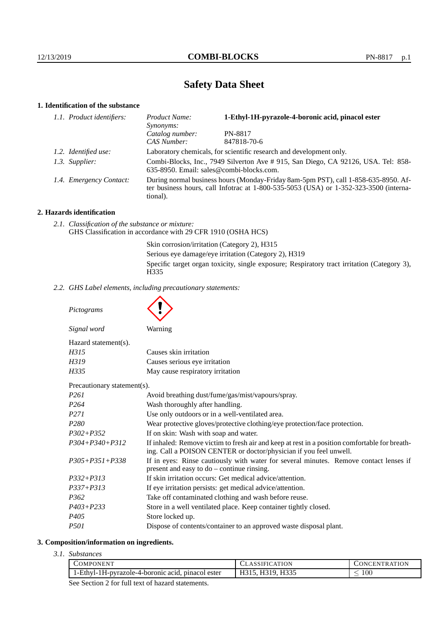# **Safety Data Sheet**

# **1. Identification of the substance**

| 1.1. Product identifiers: | Product Name:<br>Synonyms:                                                                                                                                                                  | 1-Ethyl-1H-pyrazole-4-boronic acid, pinacol ester |
|---------------------------|---------------------------------------------------------------------------------------------------------------------------------------------------------------------------------------------|---------------------------------------------------|
|                           | Catalog number:                                                                                                                                                                             | PN-8817                                           |
|                           | CAS Number:                                                                                                                                                                                 | 847818-70-6                                       |
| 1.2. Identified use:      | Laboratory chemicals, for scientific research and development only.                                                                                                                         |                                                   |
| 1.3. Supplier:            | Combi-Blocks, Inc., 7949 Silverton Ave # 915, San Diego, CA 92126, USA. Tel: 858-<br>635-8950. Email: sales@combi-blocks.com.                                                               |                                                   |
| 1.4. Emergency Contact:   | During normal business hours (Monday-Friday 8am-5pm PST), call 1-858-635-8950. Af-<br>ter business hours, call Infotrac at $1-800-535-5053$ (USA) or $1-352-323-3500$ (interna-<br>tional). |                                                   |

## **2. Hazards identification**

*2.1. Classification of the substance or mixture:* GHS Classification in accordance with 29 CFR 1910 (OSHA HCS)

> Skin corrosion/irritation (Category 2), H315 Serious eye damage/eye irritation (Category 2), H319 Specific target organ toxicity, single exposure; Respiratory tract irritation (Category 3), H335

*2.2. GHS Label elements, including precautionary statements:*

*Pictograms*

*Signal word* Warning

| Signal word          |  |
|----------------------|--|
| Hazard statement(s). |  |

| H315  | Causes skin irritation           |
|-------|----------------------------------|
| H319  | Causes serious eye irritation    |
| H335. | May cause respiratory irritation |

Precautionary statement(s).

| I Tecautional y statement 37. |                                                                                                                                                                    |  |
|-------------------------------|--------------------------------------------------------------------------------------------------------------------------------------------------------------------|--|
| P261                          | Avoid breathing dust/fume/gas/mist/vapours/spray.                                                                                                                  |  |
| P264                          | Wash thoroughly after handling.                                                                                                                                    |  |
| P271                          | Use only outdoors or in a well-ventilated area.                                                                                                                    |  |
| P280                          | Wear protective gloves/protective clothing/eye protection/face protection.                                                                                         |  |
| P302+P352                     | If on skin: Wash with soap and water.                                                                                                                              |  |
| P304+P340+P312                | If inhaled: Remove victim to fresh air and keep at rest in a position comfortable for breath-<br>ing. Call a POISON CENTER or doctor/physician if you feel unwell. |  |
| P305+P351+P338                | If in eyes: Rinse cautiously with water for several minutes. Remove contact lenses if<br>present and easy to $do$ – continue rinsing.                              |  |
| P332+P313                     | If skin irritation occurs: Get medical advice/attention.                                                                                                           |  |
| P337+P313                     | If eye irritation persists: get medical advice/attention.                                                                                                          |  |
| P362                          | Take off contaminated clothing and wash before reuse.                                                                                                              |  |
| P403+P233                     | Store in a well ventilated place. Keep container tightly closed.                                                                                                   |  |
| P405                          | Store locked up.                                                                                                                                                   |  |
| P501                          | Dispose of contents/container to an approved waste disposal plant.                                                                                                 |  |
|                               |                                                                                                                                                                    |  |

#### **3. Composition/information on ingredients.**

*3.1. Substances*

|                                                                                                                                                                                                                                                                                                                                  | <b>COMPONENT</b>                                  | <b>CLASSIFICATION</b> | <b>CONCENTRATION</b> |
|----------------------------------------------------------------------------------------------------------------------------------------------------------------------------------------------------------------------------------------------------------------------------------------------------------------------------------|---------------------------------------------------|-----------------------|----------------------|
|                                                                                                                                                                                                                                                                                                                                  | 1-Ethyl-1H-pyrazole-4-boronic acid, pinacol ester | H315, H319, H335      | 100                  |
| $\alpha$ and $\alpha$ and $\alpha$ and $\alpha$ and $\alpha$ and $\alpha$ and $\alpha$ and $\alpha$ and $\alpha$ and $\alpha$ and $\alpha$ and $\alpha$ and $\alpha$ and $\alpha$ and $\alpha$ and $\alpha$ and $\alpha$ and $\alpha$ and $\alpha$ and $\alpha$ and $\alpha$ and $\alpha$ and $\alpha$ and $\alpha$ and $\alpha$ |                                                   |                       |                      |

See Section 2 for full text of hazard statements.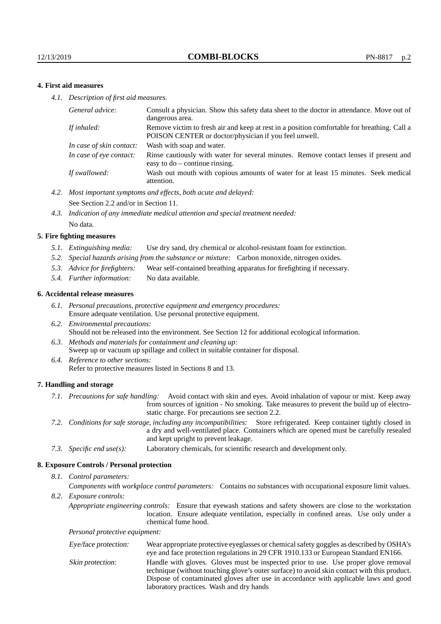## **4. First aid measures**

*4.1. Description of first aid measures.*

| General advice:          | Consult a physician. Show this safety data sheet to the doctor in attendance. Move out of<br>dangerous area.                                         |
|--------------------------|------------------------------------------------------------------------------------------------------------------------------------------------------|
| If inhaled:              | Remove victim to fresh air and keep at rest in a position comfortable for breathing. Call a<br>POISON CENTER or doctor/physician if you feel unwell. |
| In case of skin contact: | Wash with soap and water.                                                                                                                            |
| In case of eve contact:  | Rinse cautiously with water for several minutes. Remove contact lenses if present and<br>easy to $do$ – continue rinsing.                            |
| If swallowed:            | Wash out mouth with copious amounts of water for at least 15 minutes. Seek medical<br>attention.                                                     |

- *4.2. Most important symptoms and effects, both acute and delayed:* See Section 2.2 and/or in Section 11.
- *4.3. Indication of any immediate medical attention and special treatment needed:* No data.

#### **5. Fire fighting measures**

- *5.1. Extinguishing media:* Use dry sand, dry chemical or alcohol-resistant foam for extinction.
- *5.2. Special hazards arising from the substance or mixture:* Carbon monoxide, nitrogen oxides.
- *5.3. Advice for firefighters:* Wear self-contained breathing apparatus for firefighting if necessary.
- *5.4. Further information:* No data available.

#### **6. Accidental release measures**

- *6.1. Personal precautions, protective equipment and emergency procedures:* Ensure adequate ventilation. Use personal protective equipment.
- *6.2. Environmental precautions:* Should not be released into the environment. See Section 12 for additional ecological information.
- *6.3. Methods and materials for containment and cleaning up:* Sweep up or vacuum up spillage and collect in suitable container for disposal.
- *6.4. Reference to other sections:* Refer to protective measures listed in Sections 8 and 13.

#### **7. Handling and storage**

- *7.1. Precautions for safe handling:* Avoid contact with skin and eyes. Avoid inhalation of vapour or mist. Keep away from sources of ignition - No smoking. Take measures to prevent the build up of electrostatic charge. For precautions see section 2.2.
- *7.2. Conditions for safe storage, including any incompatibilities:* Store refrigerated. Keep container tightly closed in a dry and well-ventilated place. Containers which are opened must be carefully resealed and kept upright to prevent leakage.
- *7.3. Specific end use(s):* Laboratory chemicals, for scientific research and development only.

#### **8. Exposure Controls / Personal protection**

*8.1. Control parameters:*

*Components with workplace control parameters:* Contains no substances with occupational exposure limit values.

*8.2. Exposure controls:*

*Appropriate engineering controls:* Ensure that eyewash stations and safety showers are close to the workstation location. Ensure adequate ventilation, especially in confined areas. Use only under a chemical fume hood.

*Personal protective equipment:*

| Eye/face protection: | Wear appropriate protective eyeglasses or chemical safety goggles as described by OSHA's<br>eye and face protection regulations in 29 CFR 1910.133 or European Standard EN166.                                                                                                                                         |
|----------------------|------------------------------------------------------------------------------------------------------------------------------------------------------------------------------------------------------------------------------------------------------------------------------------------------------------------------|
| Skin protection:     | Handle with gloves. Gloves must be inspected prior to use. Use proper glove removal<br>technique (without touching glove's outer surface) to avoid skin contact with this product.<br>Dispose of contaminated gloves after use in accordance with applicable laws and good<br>laboratory practices. Wash and dry hands |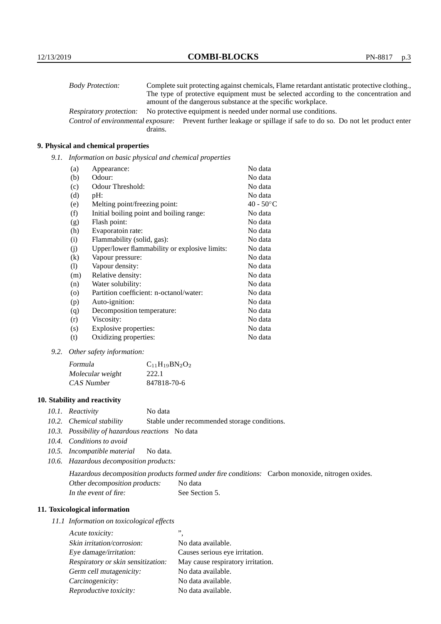| <b>Body Protection:</b>            |         | Complete suit protecting against chemicals, Flame retardant antistatic protective clothing. |
|------------------------------------|---------|---------------------------------------------------------------------------------------------|
|                                    |         | The type of protective equipment must be selected according to the concentration and        |
|                                    |         | amount of the dangerous substance at the specific workplace.                                |
| Respiratory protection:            |         | No protective equipment is needed under normal use conditions.                              |
| Control of environmental exposure: |         | Prevent further leakage or spillage if safe to do so. Do not let product enter              |
|                                    | drains. |                                                                                             |

## **9. Physical and chemical properties**

*9.1. Information on basic physical and chemical properties*

| (a)     | Appearance:                                   | No data            |
|---------|-----------------------------------------------|--------------------|
| (b)     | Odour:                                        | No data            |
| (c)     | Odour Threshold:                              | No data            |
| (d)     | pH:                                           | No data            |
| (e)     | Melting point/freezing point:                 | $40 - 50^{\circ}C$ |
| (f)     | Initial boiling point and boiling range:      | No data            |
| (g)     | Flash point:                                  | No data            |
| (h)     | Evaporatoin rate:                             | No data            |
| (i)     | Flammability (solid, gas):                    | No data            |
| (j)     | Upper/lower flammability or explosive limits: | No data            |
| (k)     | Vapour pressure:                              | No data            |
| (1)     | Vapour density:                               | No data            |
| (m)     | Relative density:                             | No data            |
| (n)     | Water solubility:                             | No data            |
| $\circ$ | Partition coefficient: n-octanol/water:       | No data            |
| (p)     | Auto-ignition:                                | No data            |
| (q)     | Decomposition temperature:                    | No data            |
| (r)     | Viscosity:                                    | No data            |
| (s)     | Explosive properties:                         | No data            |
| (t)     | Oxidizing properties:                         | No data            |

*9.2. Other safety information:*

| Formula          | $C_{11}H_{19}BN_2O_2$ |
|------------------|-----------------------|
| Molecular weight | 222.1                 |
| CAS Number       | 847818-70-6           |

## **10. Stability and reactivity**

- *10.1. Reactivity* No data
- *10.2. Chemical stability* Stable under recommended storage conditions.
- *10.3. Possibility of hazardous reactions* No data
- *10.4. Conditions to avoid*
- *10.5. Incompatible material* No data.
- *10.6. Hazardous decomposition products:*

Hazardous decomposition products formed under fire conditions: Carbon monoxide, nitrogen oxides. Other decomposition products: No data In the event of fire: See Section 5.

## **11. Toxicological information**

*11.1 Information on toxicological effects*

| Acute toxicity:                    | ,,                                |
|------------------------------------|-----------------------------------|
| Skin irritation/corrosion:         | No data available.                |
| Eye damage/irritation:             | Causes serious eye irritation.    |
| Respiratory or skin sensitization: | May cause respiratory irritation. |
| Germ cell mutagenicity:            | No data available.                |
| Carcinogenicity:                   | No data available.                |
| Reproductive toxicity:             | No data available.                |